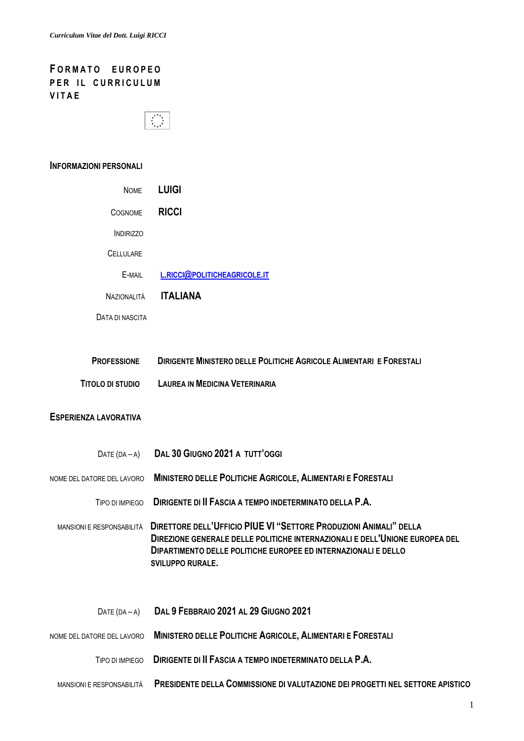## **F O R M A T O E U R O P E O PER IL CURRICULUM V I T A E**



#### **INFORMAZIONI PERSONALI**

| <b>NOME</b>      | <b>LUIGI</b>                 |
|------------------|------------------------------|
| <b>COGNOME</b>   | <b>RICCI</b>                 |
| <b>INDIRIZZO</b> |                              |
| <b>CELLULARE</b> |                              |
| E-MAIL           | L.RICCI@POLITICHEAGRICOLE.IT |
| Nazionai ità     | <b>ITALIANA</b>              |
| DATA DI NASCITA  |                              |

| <b>PROFESSIONE</b> | DIRIGENTE MINISTERO DELLE POLITICHE AGRICOLE ALIMENTARI E FORESTALI |
|--------------------|---------------------------------------------------------------------|
| TITOLO DI STUDIO   | <b>LAUREA IN MEDICINA VETERINARIA</b>                               |

#### **ESPERIENZA LAVORATIVA**

| $DATE(DA - A)$             | DAL 30 GIUGNO 2021 A TUTT'OGGI                                                                                                                                                                                                                       |
|----------------------------|------------------------------------------------------------------------------------------------------------------------------------------------------------------------------------------------------------------------------------------------------|
| NOME DEL DATORE DEL LAVORO | <b>MINISTERO DELLE POLITICHE AGRICOLE, ALIMENTARI E FORESTALI</b>                                                                                                                                                                                    |
| TIPO DI IMPIFGO            | DIRIGENTE DI II FASCIA A TEMPO INDETERMINATO DELLA P.A.                                                                                                                                                                                              |
| MANSIONI E RESPONSABILITÀ  | <b>DIRETTORE DELL'UFFICIO PIUE VI "SETTORE PRODUZIONI ANIMALI" DELLA</b><br>DIREZIONE GENERALE DELLE POLITICHE INTERNAZIONALI E DELL'UNIONE EUROPEA DEL<br>DIPARTIMENTO DELLE POLITICHE EUROPEE ED INTERNAZIONALI E DELLO<br><b>SVILUPPO RURALE.</b> |
| $DATE(DA - A)$             | DAL 9 FEBBRAIO 2021 AL 29 GIUGNO 2021                                                                                                                                                                                                                |
| NOME DEL DATORE DEL LAVORO | MINISTERO DELLE POLITICHE AGRICOLE, ALIMENTARI E FORESTALI                                                                                                                                                                                           |
| TIPO DI IMPIEGO            | DIRIGENTE DI II FASCIA A TEMPO INDETERMINATO DELLA P.A.                                                                                                                                                                                              |
| MANSIONI E RESPONSABILITÀ  | <b>PRESIDENTE DELLA COMMISSIONE DI VALUTAZIONE DEI PROGETTI NEL SETTORE APISTICO</b>                                                                                                                                                                 |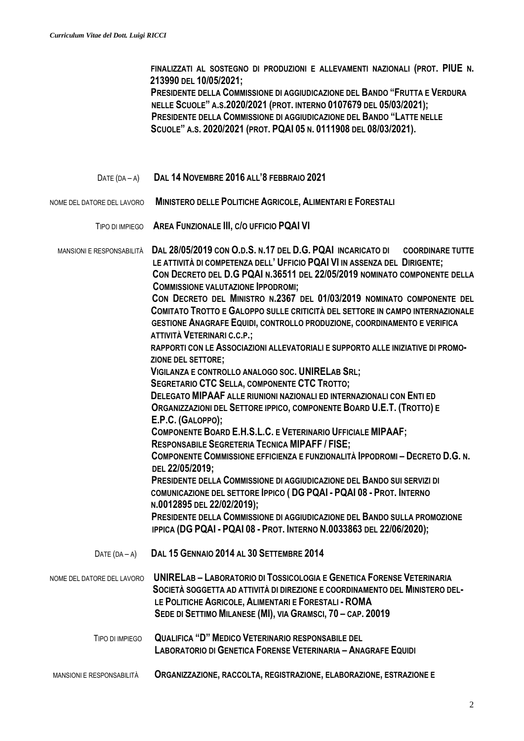**FINALIZZATI AL SOSTEGNO DI PRODUZIONI E ALLEVAMENTI NAZIONALI (PROT. PIUE N. 213990 DEL 10/05/2021;**

 **PRESIDENTE DELLA COMMISSIONE DI AGGIUDICAZIONE DEL BANDO "FRUTTA E VERDURA NELLE SCUOLE" A.S.2020/2021 (PROT. INTERNO 0107679 DEL 05/03/2021); PRESIDENTE DELLA COMMISSIONE DI AGGIUDICAZIONE DEL BANDO "LATTE NELLE SCUOLE" A.S. 2020/2021 (PROT. PQAI 05 N. 0111908 DEL 08/03/2021).**

- DATE (DA <sup>A</sup>) **DAL 14 NOVEMBRE 2016 ALL'8 FEBBRAIO 2021**
- NOME DEL DATORE DEL LAVORO **MINISTERO DELLE POLITICHE AGRICOLE, ALIMENTARI E FORESTALI**
	- TIPO DI IMPIEGO **AREA FUNZIONALE III, C/O UFFICIO PQAI VI**

 MANSIONI E RESPONSABILITÀ **DAL 28/05/2019 CON O.D.S. N.17 DEL D.G. PQAI INCARICATO DI COORDINARE TUTTE LE ATTIVITÀ DI COMPETENZA DELL' UFFICIO PQAI VI IN ASSENZA DEL DIRIGENTE; CON DECRETO DEL D.G PQAI N.36511 DEL 22/05/2019 NOMINATO COMPONENTE DELLA COMMISSIONE VALUTAZIONE IPPODROMI; CON DECRETO DEL MINISTRO N.2367 DEL 01/03/2019 NOMINATO COMPONENTE DEL COMITATO TROTTO E GALOPPO SULLE CRITICITÀ DEL SETTORE IN CAMPO INTERNAZIONALE GESTIONE ANAGRAFE EQUIDI, CONTROLLO PRODUZIONE, COORDINAMENTO E VERIFICA ATTIVITÀ VETERINARI C.C.P.; RAPPORTI CON LE ASSOCIAZIONI ALLEVATORIALI E SUPPORTO ALLE INIZIATIVE DI PROMO- ZIONE DEL SETTORE; VIGILANZA E CONTROLLO ANALOGO SOC. UNIRELAB SRL; SEGRETARIO CTC SELLA, COMPONENTE CTC TROTTO; DELEGATO MIPAAF ALLE RIUNIONI NAZIONALI ED INTERNAZIONALI CON ENTI ED ORGANIZZAZIONI DEL SETTORE IPPICO, COMPONENTE BOARD U.E.T. (TROTTO) E E.P.C. (GALOPPO); COMPONENTE BOARD E.H.S.L.C. E VETERINARIO UFFICIALE MIPAAF; RESPONSABILE SEGRETERIA TECNICA MIPAFF / FISE; COMPONENTE COMMISSIONE EFFICIENZA E FUNZIONALITÀ IPPODROMI – DECRETO D.G. N. DEL 22/05/2019; PRESIDENTE DELLA COMMISSIONE DI AGGIUDICAZIONE DEL BANDO SUI SERVIZI DI COMUNICAZIONE DEL SETTORE IPPICO ( DG PQAI - PQAI 08 - PROT. INTERNO N.0012895 DEL 22/02/2019); PRESIDENTE DELLA COMMISSIONE DI AGGIUDICAZIONE DEL BANDO SULLA PROMOZIONE IPPICA (DG PQAI - PQAI 08 - PROT. INTERNO N.0033863 DEL 22/06/2020);** DATE (DA – <sup>A</sup>) **DAL 15 GENNAIO 2014 AL 30 SETTEMBRE 2014** NOME DEL DATORE DEL LAVORO **UNIRELAB – LABORATORIO DI TOSSICOLOGIA E GENETICA FORENSE VETERINARIA SOCIETÀ SOGGETTA AD ATTIVITÀ DI DIREZIONE E COORDINAMENTO DEL MINISTERO DEL- LE POLITICHE AGRICOLE, ALIMENTARI E FORESTALI - ROMA SEDE DI SETTIMO MILANESE (MI), VIA GRAMSCI, 70 – CAP. 20019** TIPO DI IMPIEGO **QUALIFICA "D" MEDICO VETERINARIO RESPONSABILE DEL LABORATORIO DI GENETICA FORENSE VETERINARIA – ANAGRAFE EQUIDI**  MANSIONI E RESPONSABILITÀ **ORGANIZZAZIONE, RACCOLTA, REGISTRAZIONE, ELABORAZIONE, ESTRAZIONE E**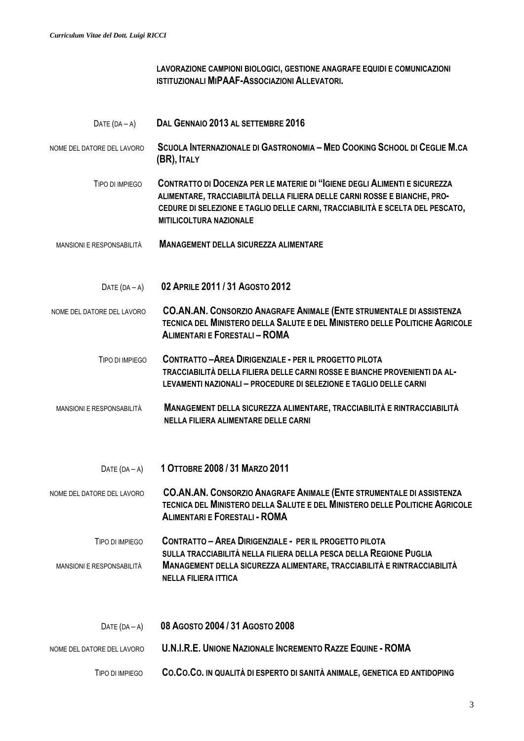**LAVORAZIONE CAMPIONI BIOLOGICI, GESTIONE ANAGRAFE EQUIDI E COMUNICAZIONI ISTITUZIONALI MIPAAF-ASSOCIAZIONI ALLEVATORI.**

 DATE (DA – <sup>A</sup>) **DAL GENNAIO 2013 AL SETTEMBRE 2016** NOME DEL DATORE DEL LAVORO SCUOLA INTERNAZIONALE DI GASTRONOMIA – MED COOKING SCHOOL DI CEGLIE M.CA  **(BR), ITALY** TIPO DI IMPIEGO **CONTRATTO DI DOCENZA PER LE MATERIE DI "IGIENE DEGLI ALIMENTI E SICUREZZA ALIMENTARE, TRACCIABILITÀ DELLA FILIERA DELLE CARNI ROSSE E BIANCHE, PRO- CEDURE DI SELEZIONE E TAGLIO DELLE CARNI, TRACCIABILITÀ E SCELTA DEL PESCATO, MITILICOLTURA NAZIONALE** MANSIONI E RESPONSABILITÀ **MANAGEMENT DELLA SICUREZZA ALIMENTARE** DATE (DA – <sup>A</sup>) **02 APRILE 2011 / 31 AGOSTO 2012** NOME DEL DATORE DEL LAVORO **CO.AN.AN. CONSORZIO ANAGRAFE ANIMALE (ENTE STRUMENTALE DI ASSISTENZA TECNICA DEL MINISTERO DELLA SALUTE E DEL MINISTERO DELLE POLITICHE AGRICOLE ALIMENTARI E FORESTALI – ROMA** TIPO DI IMPIEGO **CONTRATTO –AREA DIRIGENZIALE - PER IL PROGETTO PILOTA TRACCIABILITÀ DELLA FILIERA DELLE CARNI ROSSE E BIANCHE PROVENIENTI DA AL- LEVAMENTI NAZIONALI – PROCEDURE DI SELEZIONE E TAGLIO DELLE CARNI** MANSIONI E RESPONSABILITÀ **MANAGEMENT DELLA SICUREZZA ALIMENTARE, TRACCIABILITÀ E RINTRACCIABILITÀ NELLA FILIERA ALIMENTARE DELLE CARNI** DATE (DA – <sup>A</sup>) **1 OTTOBRE 2008 / 31 MARZO 2011** NOME DEL DATORE DEL LAVORO **CO.AN.AN. CONSORZIO ANAGRAFE ANIMALE (ENTE STRUMENTALE DI ASSISTENZA TECNICA DEL MINISTERO DELLA SALUTE E DEL MINISTERO DELLE POLITICHE AGRICOLE ALIMENTARI E FORESTALI - ROMA** TIPO DI IMPIEGO **CONTRATTO – AREA DIRIGENZIALE - PER IL PROGETTO PILOTA SULLA TRACCIABILITÀ NELLA FILIERA DELLA PESCA DELLA REGIONE PUGLIA**  MANSIONI E RESPONSABILITÀ **MANAGEMENT DELLA SICUREZZA ALIMENTARE, TRACCIABILITÀ E RINTRACCIABILITÀ NELLA FILIERA ITTICA** DATE (DA – <sup>A</sup>) **08 AGOSTO 2004 / 31 AGOSTO 2008** NOME DEL DATORE DEL LAVORO **U.N.I.R.E. UNIONE NAZIONALE INCREMENTO RAZZE EQUINE - ROMA** TIPO DI IMPIEGO **CO.CO.CO. IN QUALITÀ DI ESPERTO DI SANITÀ ANIMALE, GENETICA ED ANTIDOPING**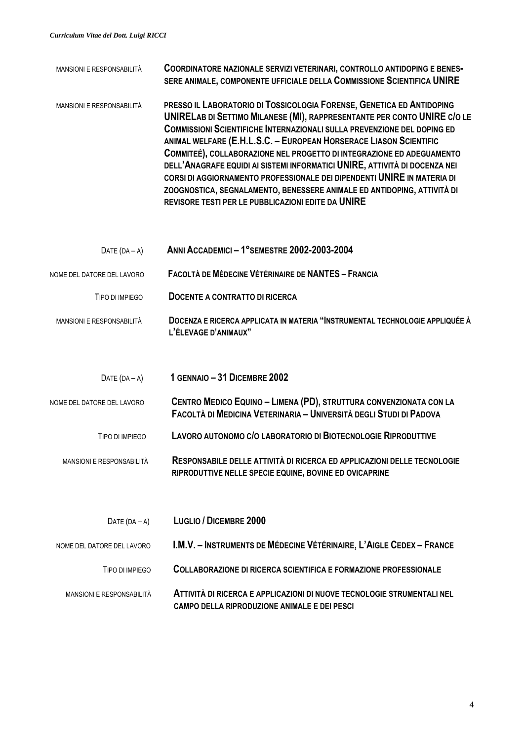| <b>MANSIONI E RESPONSABILITÀ</b> | COORDINATORE NAZIONALE SERVIZI VETERINARI, CONTROLLO ANTIDOPING E BENES-<br>SERE ANIMALE, COMPONENTE UFFICIALE DELLA COMMISSIONE SCIENTIFICA UNIRE                                                                                                                                                                                                                                                                                                                                                                                                                                                                                                                                 |
|----------------------------------|------------------------------------------------------------------------------------------------------------------------------------------------------------------------------------------------------------------------------------------------------------------------------------------------------------------------------------------------------------------------------------------------------------------------------------------------------------------------------------------------------------------------------------------------------------------------------------------------------------------------------------------------------------------------------------|
| MANSIONI E RESPONSABILITÀ        | PRESSO IL LABORATORIO DI TOSSICOLOGIA FORENSE, GENETICA ED ANTIDOPING<br>UNIRELAB DI SETTIMO MILANESE (MI), RAPPRESENTANTE PER CONTO UNIRE C/O LE<br><b>COMMISSIONI SCIENTIFICHE INTERNAZIONALI SULLA PREVENZIONE DEL DOPING ED</b><br>ANIMAL WELFARE (E.H.L.S.C. - EUROPEAN HORSERACE LIASON SCIENTIFIC<br>COMMITEÉ), COLLABORAZIONE NEL PROGETTO DI INTEGRAZIONE ED ADEGUAMENTO<br>DELL'ANAGRAFE EQUIDI AI SISTEMI INFORMATICI UNIRE, ATTIVITÀ DI DOCENZA NEI<br>CORSI DI AGGIORNAMENTO PROFESSIONALE DEI DIPENDENTI UNIRE IN MATERIA DI<br>ZOOGNOSTICA, SEGNALAMENTO, BENESSERE ANIMALE ED ANTIDOPING, ATTIVITÀ DI<br><b>REVISORE TESTI PER LE PUBBLICAZIONI EDITE DA UNIRE</b> |
| DATE $(DA - A)$                  | ANNI ACCADEMICI - 1°SEMESTRE 2002-2003-2004                                                                                                                                                                                                                                                                                                                                                                                                                                                                                                                                                                                                                                        |
| NOME DEL DATORE DEL LAVORO       | <b>FACOLTÀ DE MÉDECINE VÉTÉRINAIRE DE NANTES - FRANCIA</b>                                                                                                                                                                                                                                                                                                                                                                                                                                                                                                                                                                                                                         |
| TIPO DI IMPIEGO                  | DOCENTE A CONTRATTO DI RICERCA                                                                                                                                                                                                                                                                                                                                                                                                                                                                                                                                                                                                                                                     |
| MANSIONI E RESPONSABILITÀ        | DOCENZA E RICERCA APPLICATA IN MATERIA "INSTRUMENTAL TECHNOLOGIE APPLIQUÉE À<br>L'ÉLEVAGE D'ANIMAUX"                                                                                                                                                                                                                                                                                                                                                                                                                                                                                                                                                                               |
| DATE $(DA - A)$                  | 1 GENNAIO - 31 DICEMBRE 2002                                                                                                                                                                                                                                                                                                                                                                                                                                                                                                                                                                                                                                                       |
| NOME DEL DATORE DEL LAVORO       | CENTRO MEDICO EQUINO - LIMENA (PD), STRUTTURA CONVENZIONATA CON LA<br>FACOLTÀ DI MEDICINA VETERINARIA - UNIVERSITÀ DEGLI STUDI DI PADOVA                                                                                                                                                                                                                                                                                                                                                                                                                                                                                                                                           |
| TIPO DI IMPIEGO                  | LAVORO AUTONOMO C/O LABORATORIO DI BIOTECNOLOGIE RIPRODUTTIVE                                                                                                                                                                                                                                                                                                                                                                                                                                                                                                                                                                                                                      |
| MANSIONI E RESPONSABILITÀ        | RESPONSABILE DELLE ATTIVITÀ DI RICERCA ED APPLICAZIONI DELLE TECNOLOGIE<br>RIPRODUTTIVE NELLE SPECIE EQUINE, BOVINE ED OVICAPRINE                                                                                                                                                                                                                                                                                                                                                                                                                                                                                                                                                  |
| DATE $(DA - A)$                  | <b>LUGLIO / DICEMBRE 2000</b>                                                                                                                                                                                                                                                                                                                                                                                                                                                                                                                                                                                                                                                      |
| NOME DEL DATORE DEL LAVORO       | I.M.V. – INSTRUMENTS DE MÉDECINE VÉTÉRINAIRE, L'AIGLE CEDEX – FRANCE                                                                                                                                                                                                                                                                                                                                                                                                                                                                                                                                                                                                               |
| TIPO DI IMPIEGO                  | <b>COLLABORAZIONE DI RICERCA SCIENTIFICA E FORMAZIONE PROFESSIONALE</b>                                                                                                                                                                                                                                                                                                                                                                                                                                                                                                                                                                                                            |

```
 MANSIONI E RESPONSABILITÀ ATTIVITÀ DI RICERCA E APPLICAZIONI DI NUOVE TECNOLOGIE STRUMENTALI NEL
               CAMPO DELLA RIPRODUZIONE ANIMALE E DEI PESCI
```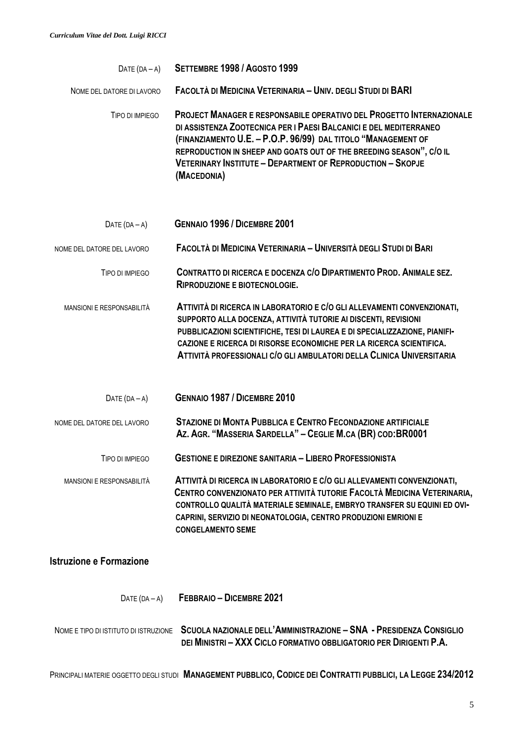| DATE $(DA - A)$            | SETTEMBRE 1998 / AGOSTO 1999                                                                                                                                                                                                                                                                                                                                                 |
|----------------------------|------------------------------------------------------------------------------------------------------------------------------------------------------------------------------------------------------------------------------------------------------------------------------------------------------------------------------------------------------------------------------|
| NOME DEL DATORE DI LAVORO  | FACOLTÀ DI MEDICINA VETERINARIA - UNIV. DEGLI STUDI DI BARI                                                                                                                                                                                                                                                                                                                  |
| TIPO DI IMPIEGO            | <b>PROJECT MANAGER E RESPONSABILE OPERATIVO DEL PROGETTO INTERNAZIONALE</b><br>DI ASSISTENZA ZOOTECNICA PER I PAESI BALCANICI E DEL MEDITERRANEO<br>(FINANZIAMENTO U.E. - P.O.P. 96/99) DAL TITOLO "MANAGEMENT OF<br>REPRODUCTION IN SHEEP AND GOATS OUT OF THE BREEDING SEASON", C/O IL<br><b>VETERINARY INSTITUTE - DEPARTMENT OF REPRODUCTION - SKOPJE</b><br>(MACEDONIA) |
| DATE $(DA - A)$            | <b>GENNAIO 1996 / DICEMBRE 2001</b>                                                                                                                                                                                                                                                                                                                                          |
| NOME DEL DATORE DEL LAVORO | FACOLTÀ DI MEDICINA VETERINARIA - UNIVERSITÀ DEGLI STUDI DI BARI                                                                                                                                                                                                                                                                                                             |
| TIPO DI IMPIFGO            | CONTRATTO DI RICERCA E DOCENZA C/O DIPARTIMENTO PROD. ANIMALE SEZ.<br><b>RIPRODUZIONE E BIOTECNOLOGIE.</b>                                                                                                                                                                                                                                                                   |
| MANSIONI E RESPONSABILITÀ  | ATTIVITÀ DI RICERCA IN LABORATORIO E C/O GLI ALLEVAMENTI CONVENZIONATI,<br>SUPPORTO ALLA DOCENZA, ATTIVITÀ TUTORIE AI DISCENTI, REVISIONI<br>PUBBLICAZIONI SCIENTIFICHE, TESI DI LAUREA E DI SPECIALIZZAZIONE, PIANIFI-<br>CAZIONE E RICERCA DI RISORSE ECONOMICHE PER LA RICERCA SCIENTIFICA.<br>ATTIVITÀ PROFESSIONALI C/O GLI AMBULATORI DELLA CLINICA UNIVERSITARIA      |
| DATE $(DA - A)$            | GENNAIO 1987 / DICEMBRE 2010                                                                                                                                                                                                                                                                                                                                                 |
| NOME DEL DATORE DEL LAVORO | <b>STAZIONE DI MONTA PUBBLICA E CENTRO FECONDAZIONE ARTIFICIALE</b><br>Az. AGR. "MASSERIA SARDELLA" - CEGLIE M.CA (BR) COD: BR0001                                                                                                                                                                                                                                           |
| TIPO DI IMPIEGO            | <b>GESTIONE E DIREZIONE SANITARIA - LIBERO PROFESSIONISTA</b>                                                                                                                                                                                                                                                                                                                |
| MANSIONI E RESPONSABILITÀ  | ATTIVITÀ DI RICERCA IN LABORATORIO E C/O GLI ALLEVAMENTI CONVENZIONATI,<br>CENTRO CONVENZIONATO PER ATTIVITÀ TUTORIE FACOLTÀ MEDICINA VETERINARIA,<br>CONTROLLO QUALITÀ MATERIALE SEMINALE, EMBRYO TRANSFER SU EQUINI ED OVI-                                                                                                                                                |

#### **Istruzione e Formazione**

DATE (DA – <sup>A</sup>) **FEBBRAIO – DICEMBRE 2021**

 **CONGELAMENTO SEME**

 NOME E TIPO DI ISTITUTO DI ISTRUZIONE **SCUOLA NAZIONALE DELL'AMMINISTRAZIONE – SNA - PRESIDENZA CONSIGLIO DEI MINISTRI – XXX CICLO FORMATIVO OBBLIGATORIO PER DIRIGENTI P.A.**

 **CAPRINI, SERVIZIO DI NEONATOLOGIA, CENTRO PRODUZIONI EMRIONI E** 

PRINCIPALI MATERIE OGGETTO DEGLI STUDI **MANAGEMENT PUBBLICO, CODICE DEI CONTRATTI PUBBLICI, LA LEGGE 234/2012**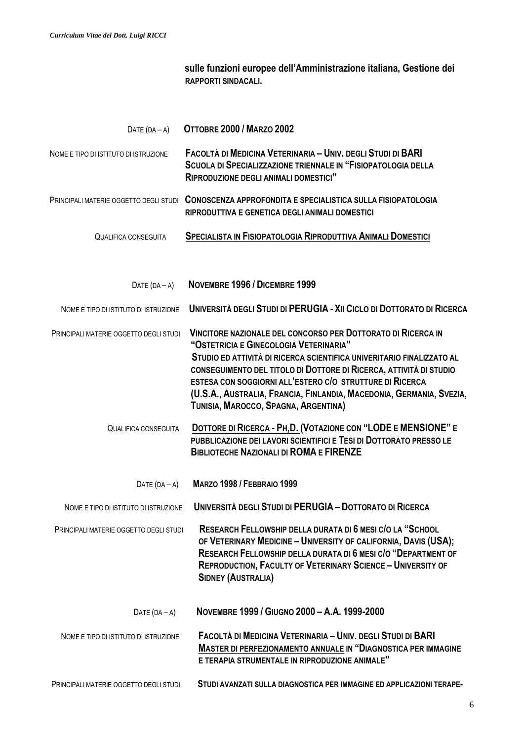**sulle funzioni europee dell'Amministrazione italiana, Gestione dei RAPPORTI SINDACALI.**

| DATE $(DA - A)$                        | OTTOBRE 2000 / MARZO 2002                                                                                                                                                                                                                                                                                                                                                                                                         |
|----------------------------------------|-----------------------------------------------------------------------------------------------------------------------------------------------------------------------------------------------------------------------------------------------------------------------------------------------------------------------------------------------------------------------------------------------------------------------------------|
| NOME E TIPO DI ISTITUTO DI ISTRUZIONE  | FACOLTÀ DI MEDICINA VETERINARIA - UNIV. DEGLI STUDI DI BARI<br><b>SCUOLA DI SPECIALIZZAZIONE TRIENNALE IN "FISIOPATOLOGIA DELLA</b><br><b>RIPRODUZIONE DEGLI ANIMALI DOMESTICI"</b>                                                                                                                                                                                                                                               |
| PRINCIPALI MATERIE OGGETTO DEGLI STUDI | CONOSCENZA APPROFONDITA E SPECIALISTICA SULLA FISIOPATOLOGIA<br>RIPRODUTTIVA E GENETICA DEGLI ANIMALI DOMESTICI                                                                                                                                                                                                                                                                                                                   |
| <b>QUALIFICA CONSEGUITA</b>            | <b>SPECIALISTA IN FISIOPATOLOGIA RIPRODUTTIVA ANIMALI DOMESTICI</b>                                                                                                                                                                                                                                                                                                                                                               |
| $DATE (DA - A)$                        | NOVEMBRE 1996 / DICEMBRE 1999                                                                                                                                                                                                                                                                                                                                                                                                     |
| NOME E TIPO DI ISTITUTO DI ISTRUZIONE  | UNIVERSITÀ DEGLI STUDI DI PERUGIA - XII CICLO DI DOTTORATO DI RICERCA                                                                                                                                                                                                                                                                                                                                                             |
| PRINCIPALI MATERIE OGGETTO DEGLI STUDI | VINCITORE NAZIONALE DEL CONCORSO PER DOTTORATO DI RICERCA IN<br>"OSTETRICIA E GINECOLOGIA VETERINARIA"<br>STUDIO ED ATTIVITÀ DI RICERCA SCIENTIFICA UNIVERITARIO FINALIZZATO AL<br>CONSEGUIMENTO DEL TITOLO DI DOTTORE DI RICERCA, ATTIVITÀ DI STUDIO<br>ESTESA CON SOGGIORNI ALL'ESTERO C/O STRUTTURE DI RICERCA<br>(U.S.A., AUSTRALIA, FRANCIA, FINLANDIA, MACEDONIA, GERMANIA, SVEZIA,<br>TUNISIA, MAROCCO, SPAGNA, ARGENTINA) |
| <b>QUALIFICA CONSEGUITA</b>            | DOTTORE DI RICERCA - PH, D. (VOTAZIONE CON "LODE E MENSIONE" E<br>PUBBLICAZIONE DEI LAVORI SCIENTIFICI E TESI DI DOTTORATO PRESSO LE<br><b>BIBLIOTECHE NAZIONALI DI ROMA E FIRENZE</b>                                                                                                                                                                                                                                            |
| DATE $(DA - A)$                        | <b>MARZO 1998 / FEBBRAIO 1999</b>                                                                                                                                                                                                                                                                                                                                                                                                 |
| NOME E TIPO DI ISTITUTO DI ISTRUZIONE  | UNIVERSITÀ DEGLI STUDI DI PERUGIA - DOTTORATO DI RICERCA                                                                                                                                                                                                                                                                                                                                                                          |
| PRINCIPALI MATERIE OGGETTO DEGLI STUDI | RESEARCH FELLOWSHIP DELLA DURATA DI 6 MESI C/O LA "SCHOOL<br>OF VETERINARY MEDICINE - UNIVERSITY OF CALIFORNIA, DAVIS (USA);<br>RESEARCH FELLOWSHIP DELLA DURATA DI 6 MESI C/O "DEPARTMENT OF<br><b>REPRODUCTION, FACULTY OF VETERINARY SCIENCE - UNIVERSITY OF</b><br><b>SIDNEY (AUSTRALIA)</b>                                                                                                                                  |
| DATE $(DA - A)$                        | NOVEMBRE 1999 / GIUGNO 2000 - A.A. 1999-2000                                                                                                                                                                                                                                                                                                                                                                                      |
| NOME E TIPO DI ISTITUTO DI ISTRUZIONE  | FACOLTÀ DI MEDICINA VETERINARIA - UNIV. DEGLI STUDI DI BARI<br><b>MASTER DI PERFEZIONAMENTO ANNUALE IN "DIAGNOSTICA PER IMMAGINE</b><br>E TERAPIA STRUMENTALE IN RIPRODUZIONE ANIMALE"                                                                                                                                                                                                                                            |
| PRINCIPALI MATERIE OGGETTO DEGLI STUDI | STUDI AVANZATI SULLA DIAGNOSTICA PER IMMAGINE ED APPLICAZIONI TERAPE-                                                                                                                                                                                                                                                                                                                                                             |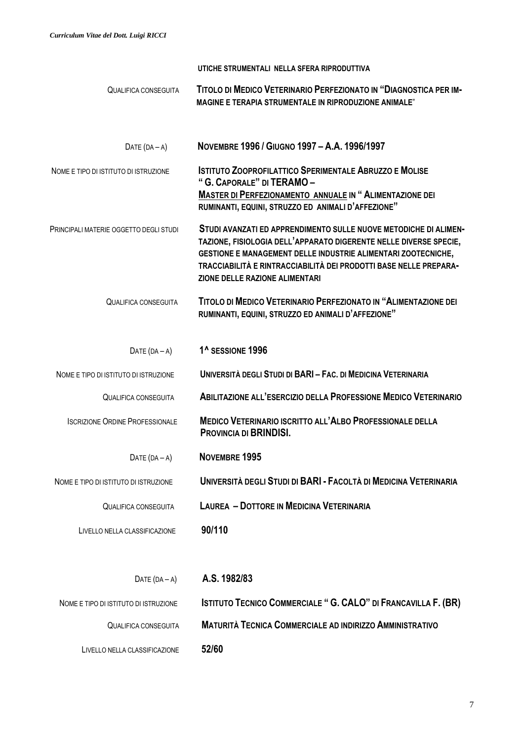|                                        | UTICHE STRUMENTALI NELLA SFERA RIPRODUTTIVA                                                                                                                                                                                                                                                                          |  |
|----------------------------------------|----------------------------------------------------------------------------------------------------------------------------------------------------------------------------------------------------------------------------------------------------------------------------------------------------------------------|--|
| <b>QUALIFICA CONSEGUITA</b>            | TITOLO DI MEDICO VETERINARIO PERFEZIONATO IN "DIAGNOSTICA PER IM-<br><b>MAGINE E TERAPIA STRUMENTALE IN RIPRODUZIONE ANIMALE"</b>                                                                                                                                                                                    |  |
| DATE $(DA - A)$                        | NOVEMBRE 1996 / GIUGNO 1997 - A.A. 1996/1997                                                                                                                                                                                                                                                                         |  |
| NOME E TIPO DI ISTITUTO DI ISTRUZIONE  | <b>ISTITUTO ZOOPROFILATTICO SPERIMENTALE ABRUZZO E MOLISE</b><br>"G. CAPORALE" DI TERAMO-<br><b>MASTER DI PERFEZIONAMENTO ANNUALE IN "ALIMENTAZIONE DEI</b><br>RUMINANTI, EQUINI, STRUZZO ED ANIMALI D'AFFEZIONE"                                                                                                    |  |
| PRINCIPALI MATERIE OGGETTO DEGLI STUDI | STUDI AVANZATI ED APPRENDIMENTO SULLE NUOVE METODICHE DI ALIMEN-<br>TAZIONE, FISIOLOGIA DELL'APPARATO DIGERENTE NELLE DIVERSE SPECIE,<br>GESTIONE E MANAGEMENT DELLE INDUSTRIE ALIMENTARI ZOOTECNICHE,<br>TRACCIABILITÀ E RINTRACCIABILITÀ DEI PRODOTTI BASE NELLE PREPARA-<br><b>ZIONE DELLE RAZIONE ALIMENTARI</b> |  |
| <b>QUALIFICA CONSEGUITA</b>            | TITOLO DI MEDICO VETERINARIO PERFEZIONATO IN "ALIMENTAZIONE DEI<br>RUMINANTI, EQUINI, STRUZZO ED ANIMALI D'AFFEZIONE"                                                                                                                                                                                                |  |
| DATE $(DA - A)$                        | 1 <sup>^</sup> SESSIONE 1996                                                                                                                                                                                                                                                                                         |  |
| NOME E TIPO DI ISTITUTO DI ISTRUZIONE  | UNIVERSITÀ DEGLI STUDI DI BARI - FAC. DI MEDICINA VETERINARIA                                                                                                                                                                                                                                                        |  |
| <b>QUALIFICA CONSEGUITA</b>            | <b>ABILITAZIONE ALL'ESERCIZIO DELLA PROFESSIONE MEDICO VETERINARIO</b>                                                                                                                                                                                                                                               |  |
| <b>ISCRIZIONE ORDINE PROFESSIONALE</b> | MEDICO VETERINARIO ISCRITTO ALL'ALBO PROFESSIONALE DELLA<br>PROVINCIA DI BRINDISI.                                                                                                                                                                                                                                   |  |
| DATE $(DA - A)$                        | NOVEMBRE 1995                                                                                                                                                                                                                                                                                                        |  |
| NOME E TIPO DI ISTITUTO DI ISTRUZIONE  | UNIVERSITÀ DEGLI STUDI DI BARI - FACOLTÀ DI MEDICINA VETERINARIA                                                                                                                                                                                                                                                     |  |
| QUALIFICA CONSEGUITA                   | <b>LAUREA - DOTTORE IN MEDICINA VETERINARIA</b>                                                                                                                                                                                                                                                                      |  |
| LIVELLO NELLA CLASSIFICAZIONE          | 90/110                                                                                                                                                                                                                                                                                                               |  |
| DATE $(DA - A)$                        | A.S. 1982/83                                                                                                                                                                                                                                                                                                         |  |
| NOME E TIPO DI ISTITUTO DI ISTRUZIONE  | <b>ISTITUTO TECNICO COMMERCIALE " G. CALO" DI FRANCAVILLA F. (BR)</b>                                                                                                                                                                                                                                                |  |
| <b>QUALIFICA CONSEGUITA</b>            | <b>MATURITÀ TECNICA COMMERCIALE AD INDIRIZZO AMMINISTRATIVO</b>                                                                                                                                                                                                                                                      |  |
| LIVELLO NELLA CLASSIFICAZIONE          | 52/60                                                                                                                                                                                                                                                                                                                |  |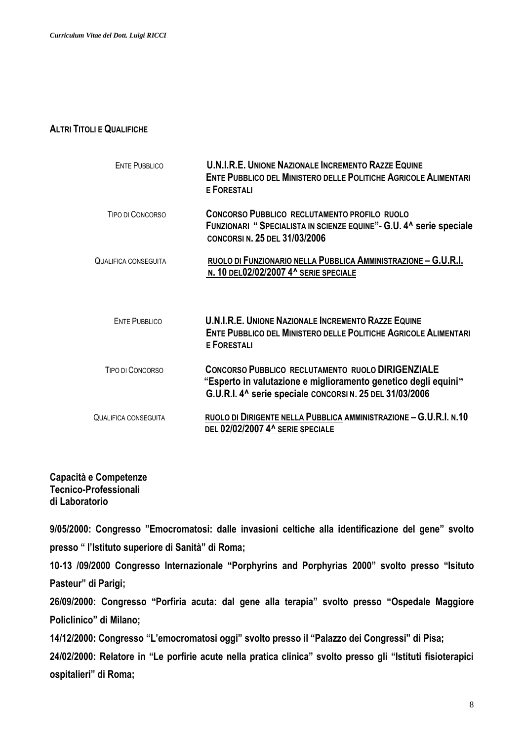#### **ALTRI TITOLI E QUALIFICHE**

| <b>ENTE PUBBLICO</b> | <b>U.N.I.R.E. UNIONE NAZIONALE INCREMENTO RAZZE EQUINE</b><br><b>ENTE PUBBLICO DEL MINISTERO DELLE POLITICHE AGRICOLE ALIMENTARI</b><br><b>E FORESTALI</b>                             |
|----------------------|----------------------------------------------------------------------------------------------------------------------------------------------------------------------------------------|
| TIPO DI CONCORSO     | <b>CONCORSO PUBBLICO RECLUTAMENTO PROFILO RUOLO</b><br>FUNZIONARI "SPECIALISTA IN SCIENZE EQUINE" - G.U. 4^ serie speciale<br><b>CONCORSIN, 25 DEL 31/03/2006</b>                      |
| QUALIFICA CONSEGUITA | RUOLO DI FUNZIONARIO NELLA PUBBLICA AMMINISTRAZIONE - G.U.R.I.<br>N. 10 DEL02/02/2007 4^ SERIE SPECIALE                                                                                |
| <b>ENTE PUBBLICO</b> | <b>U.N.I.R.E. UNIONE NAZIONALE INCREMENTO RAZZE EQUINE</b><br><b>ENTE PUBBLICO DEL MINISTERO DELLE POLITICHE AGRICOLE ALIMENTARI</b><br><b>E FORESTALI</b>                             |
| TIPO DI CONCORSO     | <b>CONCORSO PUBBLICO RECLUTAMENTO RUOLO DIRIGENZIALE</b><br>"Esperto in valutazione e miglioramento genetico degli equini"<br>G.U.R.I. 4^ serie speciale CONCORSI N. 25 DEL 31/03/2006 |
| QUALIFICA CONSEGUITA | RUOLO DI DIRIGENTE NELLA PUBBLICA AMMINISTRAZIONE - G.U.R.I. N.10<br>DEL 02/02/2007 4^ SERIE SPECIALE                                                                                  |

## **Capacità e Competenze Tecnico-Professionali di Laboratorio**

**9/05/2000: Congresso "Emocromatosi: dalle invasioni celtiche alla identificazione del gene" svolto presso " l'Istituto superiore di Sanità" di Roma;** 

**10-13 /09/2000 Congresso Internazionale "Porphyrins and Porphyrias 2000" svolto presso "Isituto Pasteur" di Parigi;**

**26/09/2000: Congresso "Porfiria acuta: dal gene alla terapia" svolto presso "Ospedale Maggiore Policlinico" di Milano;**

**14/12/2000: Congresso "L'emocromatosi oggi" svolto presso il "Palazzo dei Congressi" di Pisa;**

**24/02/2000: Relatore in "Le porfirie acute nella pratica clinica" svolto presso gli "Istituti fisioterapici ospitalieri" di Roma;**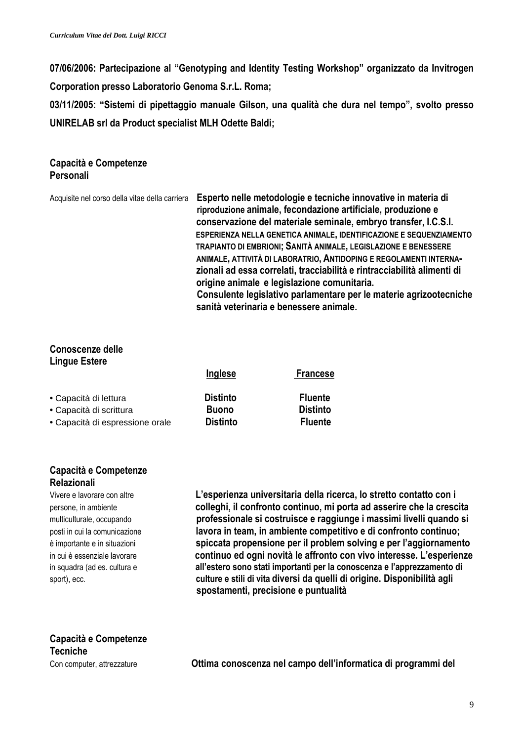**07/06/2006: Partecipazione al "Genotyping and Identity Testing Workshop" organizzato da Invitrogen** 

**Corporation presso Laboratorio Genoma S.r.L. Roma;**

**03/11/2005: "Sistemi di pipettaggio manuale Gilson, una qualità che dura nel tempo", svolto presso UNIRELAB srl da Product specialist MLH Odette Baldi;**

### **Capacità e Competenze Personali**

| Acquisite nel corso della vitae della carriera | Esperto nelle metodologie e tecniche innovative in materia di<br>riproduzione animale, fecondazione artificiale, produzione e<br>conservazione del materiale seminale, embryo transfer, I.C.S.I.<br>ESPERIENZA NELLA GENETICA ANIMALE, IDENTIFICAZIONE E SEQUENZIAMENTO<br>TRAPIANTO DI EMBRIONI; SANITÀ ANIMALE, LEGISLAZIONE E BENESSERE<br>ANIMALE, ATTIVITÀ DI LABORATRIO, ANTIDOPING E REGOLAMENTI INTERNA-<br>zionali ad essa correlati, tracciabilità e rintracciabilità alimenti di<br>origine animale e legislazione comunitaria.<br>Consulente legislativo parlamentare per le materie agrizootecniche |
|------------------------------------------------|------------------------------------------------------------------------------------------------------------------------------------------------------------------------------------------------------------------------------------------------------------------------------------------------------------------------------------------------------------------------------------------------------------------------------------------------------------------------------------------------------------------------------------------------------------------------------------------------------------------|
|                                                | sanità veterinaria e benessere animale.                                                                                                                                                                                                                                                                                                                                                                                                                                                                                                                                                                          |

## **Conoscenze delle Lingue Estere**

| Inglese                         | <b>Francese</b>                                     |
|---------------------------------|-----------------------------------------------------|
| <b>Distinto</b><br><b>Buono</b> | <b>Fluente</b><br><b>Distinto</b><br><b>Fluente</b> |
|                                 |                                                     |
|                                 | <b>Distinto</b>                                     |

## **Capacità e Competenze Relazionali**

Vivere e lavorare con altre **L'esperienza universitaria della ricerca, lo stretto contatto con i** persone, in ambiente **colleghi, il confronto continuo, mi porta ad asserire che la crescita** multiculturale, occupando **professionale si costruisce e raggiunge i massimi livelli quando si**  posti in cui la comunicazione **lavora in team, in ambiente competitivo e di confronto continuo;** è importante e in situazioni **spiccata propensione per il problem solving e per l'aggiornamento** in cui è essenziale lavorare **continuo ed ogni novità le affronto con vivo interesse. L'esperienze** in squadra (ad es. cultura e **all'estero sono stati importanti per la conoscenza e l'apprezzamento di**  sport), ecc. **culture e stili di vita diversi da quelli di origine. Disponibilità agli spostamenti, precisione e puntualità**

# **Capacità e Competenze Tecniche**

Con computer, attrezzature **Ottima conoscenza nel campo dell'informatica di programmi del**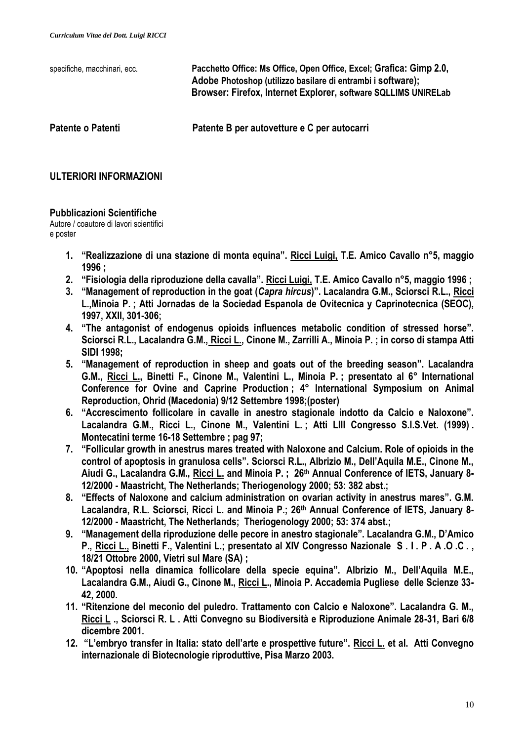| specifiche, macchinari, ecc. | Pacchetto Office: Ms Office, Open Office, Excel; Grafica: Gimp 2.0,<br>Adobe Photoshop (utilizzo basilare di entrambi i software);<br>Browser: Firefox, Internet Explorer, software SQLLIMS UNIRELab |
|------------------------------|------------------------------------------------------------------------------------------------------------------------------------------------------------------------------------------------------|
| Patente o Patenti            | Patente B per autovetture e C per autocarri                                                                                                                                                          |

## **ULTERIORI INFORMAZIONI**

### **Pubblicazioni Scientifiche**

Autore / coautore di lavori scientifici e poster

- **1. "Realizzazione di una stazione di monta equina". Ricci Luigi, T.E. Amico Cavallo n°5, maggio 1996 ;**
- **2. "Fisiologia della riproduzione della cavalla". Ricci Luigi, T.E. Amico Cavallo n°5, maggio 1996 ;**
- **3. "Management of reproduction in the goat (***Capra hircus***)". Lacalandra G.M., Sciorsci R.L., Ricci L.,Minoia P. ; Atti Jornadas de la Sociedad Espanola de Ovitecnica y Caprinotecnica (SEOC), 1997, XXII, 301-306;**
- **4. "The antagonist of endogenus opioids influences metabolic condition of stressed horse". Sciorsci R.L., Lacalandra G.M., Ricci L., Cinone M., Zarrilli A., Minoia P. ; in corso di stampa Atti SIDI 1998;**
- **5. "Management of reproduction in sheep and goats out of the breeding season". Lacalandra G.M., Ricci L., Binetti F., Cinone M., Valentini L., Minoia P. ; presentato al 6° International Conference for Ovine and Caprine Production ; 4° International Symposium on Animal Reproduction, Ohrid (Macedonia) 9/12 Settembre 1998;(poster)**
- **6. "Accrescimento follicolare in cavalle in anestro stagionale indotto da Calcio e Naloxone". Lacalandra G.M., Ricci L., Cinone M., Valentini L. ; Atti LIII Congresso S.I.S.Vet. (1999) . Montecatini terme 16-18 Settembre ; pag 97;**
- **7. "Follicular growth in anestrus mares treated with Naloxone and Calcium. Role of opioids in the control of apoptosis in granulosa cells". Sciorsci R.L., Albrizio M., Dell'Aquila M.E., Cinone M., Aiudi G., Lacalandra G.M., Ricci L. and Minoia P. ; 26th Annual Conference of IETS, January 8- 12/2000 - Maastricht, The Netherlands; Theriogenology 2000; 53: 382 abst.;**
- **8. "Effects of Naloxone and calcium administration on ovarian activity in anestrus mares". G.M. Lacalandra, R.L. Sciorsci, Ricci L. and Minoia P.; 26th Annual Conference of IETS, January 8- 12/2000 - Maastricht, The Netherlands; Theriogenology 2000; 53: 374 abst.;**
- **9. "Management della riproduzione delle pecore in anestro stagionale". Lacalandra G.M., D'Amico P., Ricci L., Binetti F., Valentini L.; presentato al XIV Congresso Nazionale S . I . P . A .O .C . , 18/21 Ottobre 2000, Vietri sul Mare (SA) ;**
- **10. "Apoptosi nella dinamica follicolare della specie equina". Albrizio M., Dell'Aquila M.E., Lacalandra G.M., Aiudi G., Cinone M., Ricci L., Minoia P. Accademia Pugliese delle Scienze 33- 42, 2000.**
- **11. "Ritenzione del meconio del puledro. Trattamento con Calcio e Naloxone". Lacalandra G. M., Ricci L ., Sciorsci R. L . Atti Convegno su Biodiversità e Riproduzione Animale 28-31, Bari 6/8 dicembre 2001.**
- **12. "L'embryo transfer in Italia: stato dell'arte e prospettive future". Ricci L. et al. Atti Convegno internazionale di Biotecnologie riproduttive, Pisa Marzo 2003.**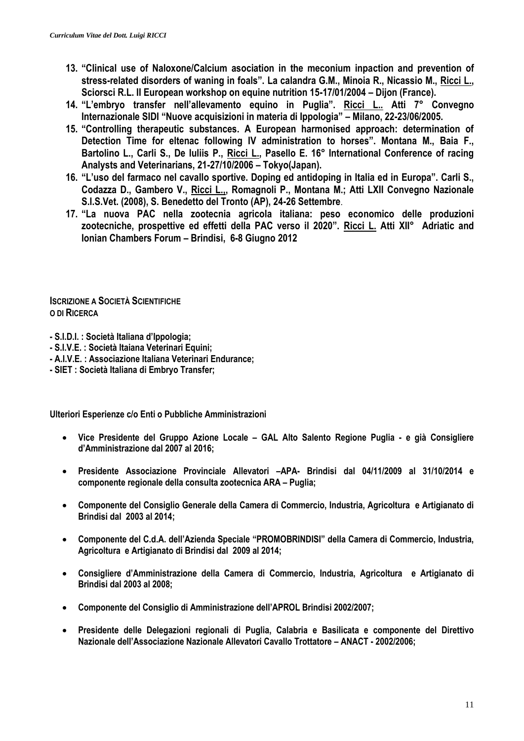- **13. "Clinical use of Naloxone/Calcium asociation in the meconium inpaction and prevention of stress-related disorders of waning in foals". La calandra G.M., Minoia R., Nicassio M., Ricci L., Sciorsci R.L. II European workshop on equine nutrition 15-17/01/2004 – Dijon (France).**
- **14. "L'embryo transfer nell'allevamento equino in Puglia". Ricci L.. Atti 7° Convegno Internazionale SIDI "Nuove acquisizioni in materia di Ippologia" – Milano, 22-23/06/2005.**
- **15. "Controlling therapeutic substances. A European harmonised approach: determination of Detection Time for eltenac following IV administration to horses". Montana M., Baia F., Bartolino L., Carli S., De Iuliis P., Ricci L., Pasello E. 16° International Conference of racing Analysts and Veterinarians, 21-27/10/2006 – Tokyo(Japan).**
- **16. "L'uso del farmaco nel cavallo sportive. Doping ed antidoping in Italia ed in Europa". Carli S., Codazza D., Gambero V., Ricci L.,, Romagnoli P., Montana M.; Atti LXII Convegno Nazionale S.I.S.Vet. (2008), S. Benedetto del Tronto (AP), 24-26 Settembre**.
- **17. "La nuova PAC nella zootecnia agricola italiana: peso economico delle produzioni zootecniche, prospettive ed effetti della PAC verso il 2020". Ricci L. Atti XII° Adriatic and Ionian Chambers Forum – Brindisi, 6-8 Giugno 2012**

**ISCRIZIONE A SOCIETÀ SCIENTIFICHE O DI RICERCA**

**- S.I.D.I. : Società Italiana d'Ippologia;**

- **- S.I.V.E. : Società Itaiana Veterinari Equini;**
- **- A.I.V.E. : Associazione Italiana Veterinari Endurance;**
- **- SIET : Società Italiana di Embryo Transfer;**

**Ulteriori Esperienze c/o Enti o Pubbliche Amministrazioni**

- **Vice Presidente del Gruppo Azione Locale – GAL Alto Salento Regione Puglia - e già Consigliere d'Amministrazione dal 2007 al 2016;**
- **Presidente Associazione Provinciale Allevatori –APA- Brindisi dal 04/11/2009 al 31/10/2014 e componente regionale della consulta zootecnica ARA – Puglia;**
- **Componente del Consiglio Generale della Camera di Commercio, Industria, Agricoltura e Artigianato di Brindisi dal 2003 al 2014;**
- **Componente del C.d.A. dell'Azienda Speciale "PROMOBRINDISI" della Camera di Commercio, Industria, Agricoltura e Artigianato di Brindisi dal 2009 al 2014;**
- **Consigliere d'Amministrazione della Camera di Commercio, Industria, Agricoltura e Artigianato di Brindisi dal 2003 al 2008;**
- **Componente del Consiglio di Amministrazione dell'APROL Brindisi 2002/2007;**
- **Presidente delle Delegazioni regionali di Puglia, Calabria e Basilicata e componente del Direttivo Nazionale dell'Associazione Nazionale Allevatori Cavallo Trottatore – ANACT - 2002/2006;**